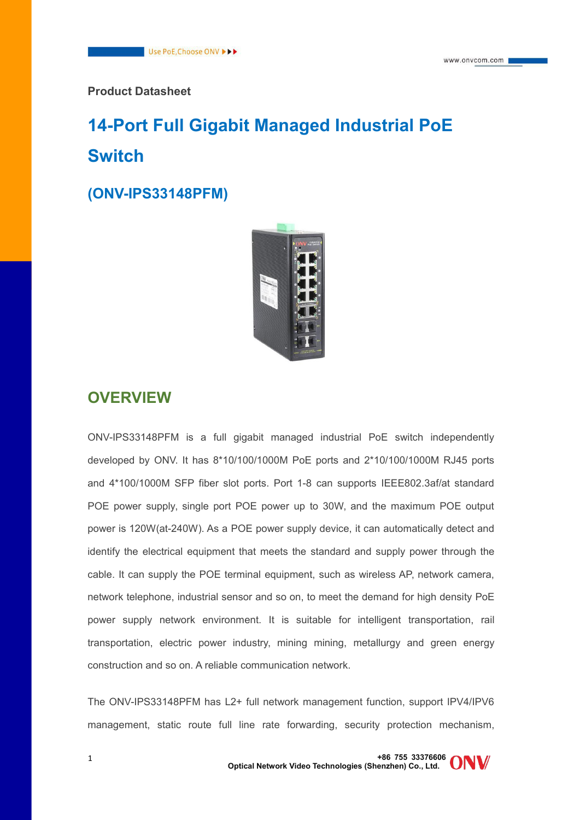#### **Product Datasheet**

# **14-Port Full Gigabit Managed Industrial PoE Switch**

**(ONV-IPS33148PFM)**



### **OVERVIEW**

ONV-IPS33148PFM is a full gigabit managed industrial PoE switch independently developed by ONV. It has 8\*10/100/1000M PoE ports and 2\*10/100/1000M RJ45 ports and 4\*100/1000M SFP fiber slot ports. Port 1-8 can supports IEEE802.3af/at standard POE power supply, single port POE power up to 30W, and the maximum POE output power is 120W(at-240W). As a POE power supply device, it can automatically detect and identify the electrical equipment that meets the standard and supply power through the cable. It can supply the POE terminal equipment, such as wireless AP, network camera, network telephone, industrial sensor and so on, to meet the demand for high density PoE power supply network environment. It is suitable for intelligent transportation, rail transportation, electric power industry, mining mining, metallurgy and green energy construction and so on. A reliable communication network.

The ONV-IPS33148PFM has L2+ full network management function, support IPV4/IPV6 management, static route full line rate forwarding, security protection mechanism,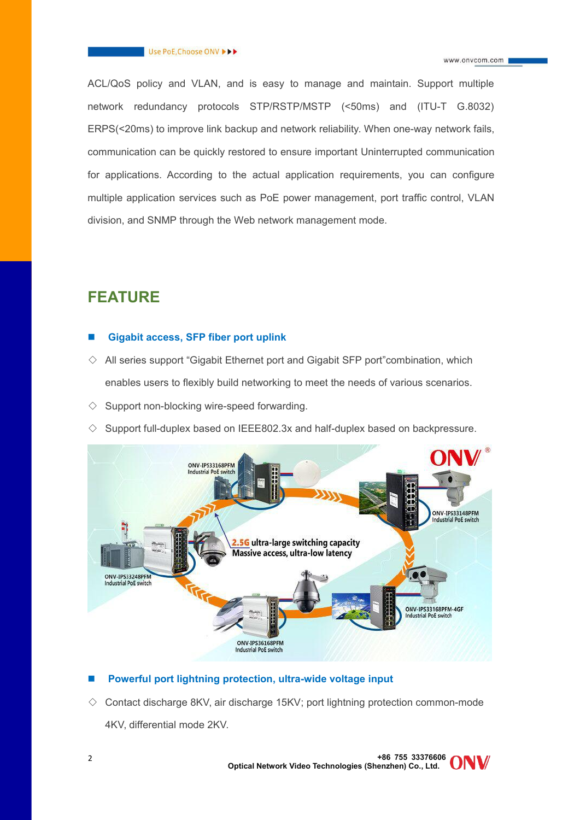#### Use PoE, Choose ONV >>>

ACL/QoS policy and VLAN, and is easy to manage and maintain. Support multiple network redundancy protocols STP/RSTP/MSTP (<50ms) and (ITU-T G.8032) ERPS(<20ms) to improve link backup and network reliability. When one-way network fails, communication can be quickly restored to ensure important Uninterrupted communication for applications. According to the actual application requirements, you can configure multiple application services such as PoE power management, port traffic control, VLAN division, and SNMP through the Web network management mode.

### **FEATURE**

#### **Gigabit access, SFP fiber port uplink**

- $\Diamond$  All series support "Gigabit Ethernet port and Gigabit SFP port" combination, which enables users to flexibly build networking to meet the needs of various scenarios.
- $\diamondsuit$  Support non-blocking wire-speed forwarding.
- $\diamond$  Support full-duplex based on IEEE802.3x and half-duplex based on backpressure.



#### **Powerful port lightning protection, ultra-wide voltage input**

 $\diamond$  Contact discharge 8KV, air discharge 15KV; port lightning protection common-mode 4KV, differential mode 2KV.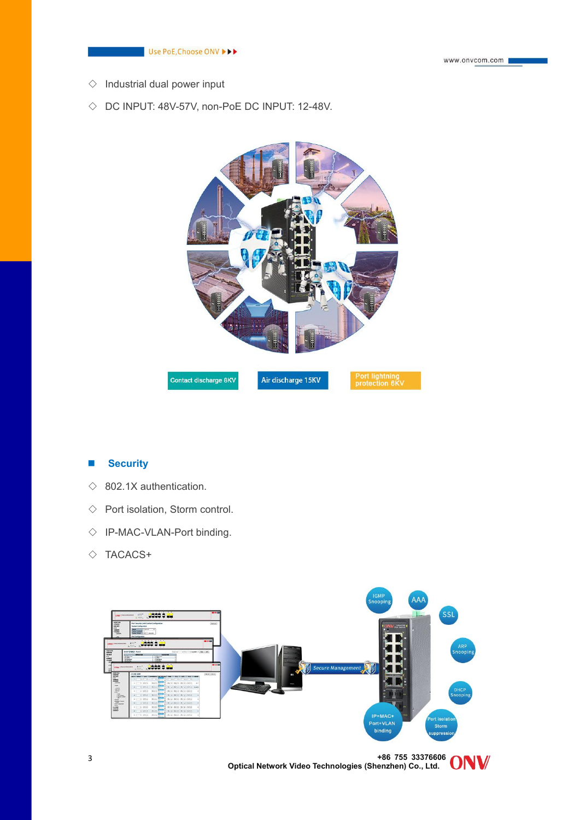

- $\diamond$  Industrial dual power input
- $\Diamond$  DC INPUT: 48V-57V, non-PoE DC INPUT: 12-48V.



#### **Security**

- $\Diamond$  802.1X authentication.
- $\Diamond$  Port isolation, Storm control.
- ◇ IP-MAC-VLAN-Port binding.
- $\diamond$  TACACS+

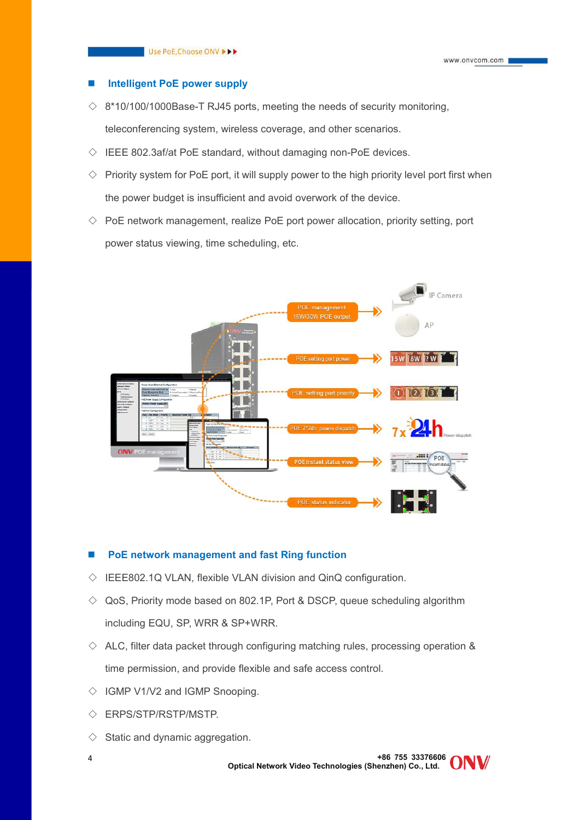#### **Intelligent PoE power supply**

- $\Diamond$  8\*10/100/1000Base-T RJ45 ports, meeting the needs of security monitoring, teleconferencing system, wireless coverage, and other scenarios.
- $\Diamond$  IEEE 802.3af/at PoE standard, without damaging non-PoE devices.
- $\Diamond$  Priority system for PoE port, it will supply power to the high priority level port first when the power budget is insufficient and avoid overwork of the device.
- $\diamond$  PoE network management, realize PoE port power allocation, priority setting, port power status viewing, time scheduling, etc.



#### **PoE network management and fast Ring function**

- $\Diamond$  IEEE802.1Q VLAN, flexible VLAN division and QinQ configuration.
- $\Diamond$  QoS, Priority mode based on 802.1P, Port & DSCP, queue scheduling algorithm including EQU, SP, WRR & SP+WRR.
- $\Diamond$  ALC, filter data packet through configuring matching rules, processing operation & time permission, and provide flexible and safe access control.
- $\Diamond$  IGMP V1/V2 and IGMP Snooping.
- ◇ ERPS/STP/RSTP/MSTP.
- $\diamond$  Static and dynamic aggregation.
- 

**+86 755 33376606 Optical Network Video Technologies (Shenzhen) Co., Ltd.** <sup>4</sup>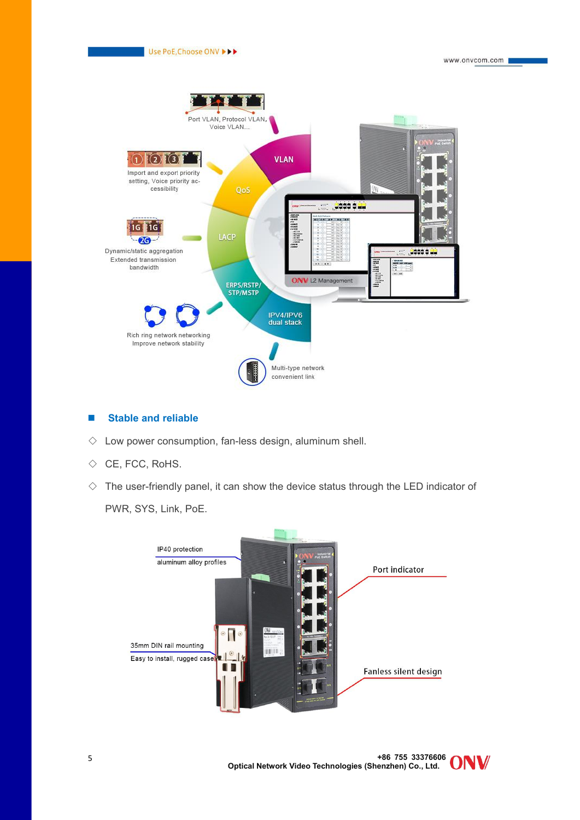

#### **Stable and reliable**

- $\diamond$  Low power consumption, fan-less design, aluminum shell.
- ◇ CE, FCC, RoHS.
- $\Diamond$  The user-friendly panel, it can show the device status through the LED indicator of PWR, SYS, Link, PoE.

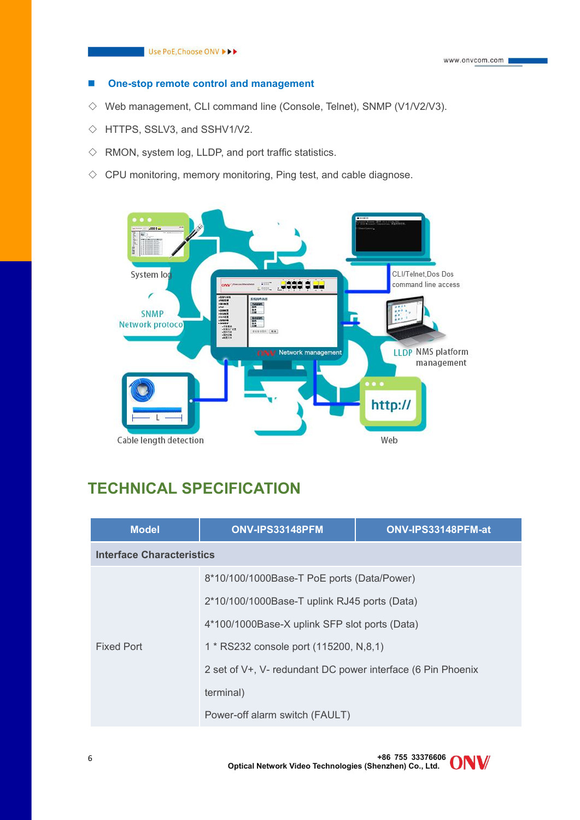#### **One-stop remote control and management**

- $\Diamond$  Web management, CLI command line (Console, Telnet), SNMP (V1/V2/V3).
- ◇ HTTPS, SSLV3, and SSHV1/V2.
- $\diamond$  RMON, system log, LLDP, and port traffic statistics.
- $\Diamond$  CPU monitoring, memory monitoring, Ping test, and cable diagnose.



### **TECHNICAL SPECIFICATION**

| <b>Model</b>                     | ONV-IPS33148PFM                                                          | ONV-IPS33148PFM-at |
|----------------------------------|--------------------------------------------------------------------------|--------------------|
| <b>Interface Characteristics</b> |                                                                          |                    |
|                                  | 8*10/100/1000Base-T PoE ports (Data/Power)                               |                    |
|                                  | 2*10/100/1000Base-T uplink RJ45 ports (Data)                             |                    |
|                                  | 4*100/1000Base-X uplink SFP slot ports (Data)                            |                    |
| Fixed Port                       | 1 * RS232 console port (115200, N,8,1)                                   |                    |
|                                  | 2 set of V <sup>+</sup> , V- redundant DC power interface (6 Pin Phoenix |                    |
|                                  | terminal)                                                                |                    |
|                                  | Power-off alarm switch (FAULT)                                           |                    |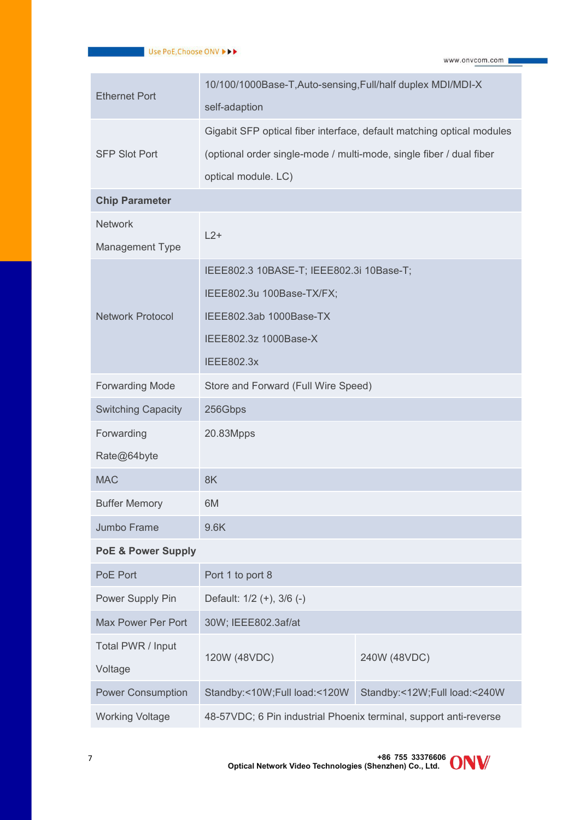| <b>Ethernet Port</b>          | 10/100/1000Base-T, Auto-sensing, Full/half duplex MDI/MDI-X           |                              |  |
|-------------------------------|-----------------------------------------------------------------------|------------------------------|--|
|                               | self-adaption                                                         |                              |  |
|                               | Gigabit SFP optical fiber interface, default matching optical modules |                              |  |
| <b>SFP Slot Port</b>          | (optional order single-mode / multi-mode, single fiber / dual fiber   |                              |  |
|                               | optical module. LC)                                                   |                              |  |
| <b>Chip Parameter</b>         |                                                                       |                              |  |
| <b>Network</b>                |                                                                       |                              |  |
| Management Type               | $L2+$                                                                 |                              |  |
|                               | IEEE802.3 10BASE-T; IEEE802.3i 10Base-T;                              |                              |  |
|                               | IEEE802.3u 100Base-TX/FX;                                             |                              |  |
| <b>Network Protocol</b>       | IEEE802.3ab 1000Base-TX                                               |                              |  |
|                               | IEEE802.3z 1000Base-X                                                 |                              |  |
|                               | <b>IEEE802.3x</b>                                                     |                              |  |
| <b>Forwarding Mode</b>        | Store and Forward (Full Wire Speed)                                   |                              |  |
| <b>Switching Capacity</b>     | 256Gbps                                                               |                              |  |
| Forwarding                    | 20.83Mpps                                                             |                              |  |
| Rate@64byte                   |                                                                       |                              |  |
| <b>MAC</b>                    | 8K                                                                    |                              |  |
| <b>Buffer Memory</b>          | 6M                                                                    |                              |  |
| Jumbo Frame                   | 9.6K                                                                  |                              |  |
| <b>PoE &amp; Power Supply</b> |                                                                       |                              |  |
| PoE Port                      | Port 1 to port 8                                                      |                              |  |
| Power Supply Pin              | Default: 1/2 (+), 3/6 (-)                                             |                              |  |
| Max Power Per Port            | 30W; IEEE802.3af/at                                                   |                              |  |
| Total PWR / Input             |                                                                       |                              |  |
| Voltage                       | 120W (48VDC)                                                          | 240W (48VDC)                 |  |
| <b>Power Consumption</b>      | Standby:<10W;Full load:<120W                                          | Standby:<12W;Full load:<240W |  |
| <b>Working Voltage</b>        | 48-57VDC; 6 Pin industrial Phoenix terminal, support anti-reverse     |                              |  |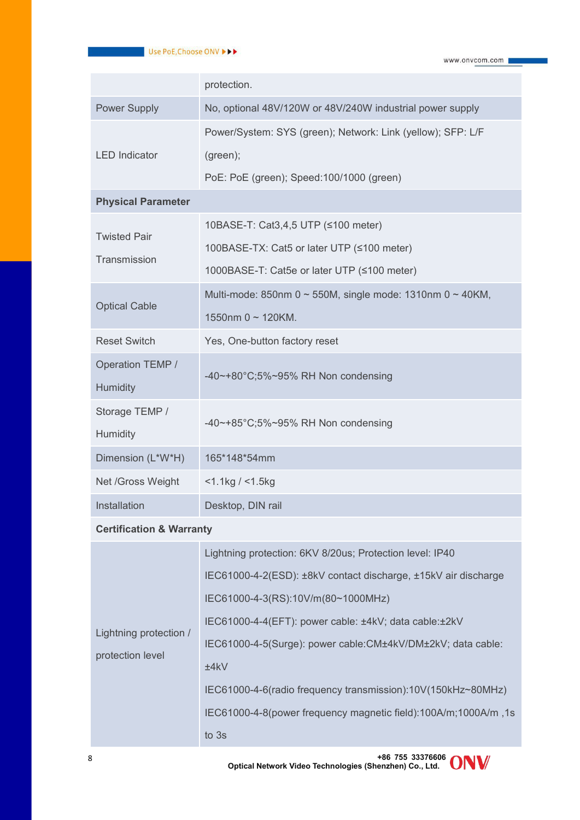|                                     | protection.                                                 |
|-------------------------------------|-------------------------------------------------------------|
| <b>Power Supply</b>                 | No, optional 48V/120W or 48V/240W industrial power supply   |
|                                     | Power/System: SYS (green); Network: Link (yellow); SFP: L/F |
| <b>LED</b> Indicator                | (green);                                                    |
|                                     | PoE: PoE (green); Speed: 100/1000 (green)                   |
| <b>Physical Parameter</b>           |                                                             |
| <b>Twisted Pair</b>                 | 10BASE-T: Cat3,4,5 UTP (≤100 meter)                         |
| Transmission                        | 100BASE-TX: Cat5 or later UTP (≤100 meter)                  |
|                                     | 1000BASE-T: Cat5e or later UTP (≤100 meter)                 |
| <b>Optical Cable</b>                | Multi-mode: 850nm 0 ~ 550M, single mode: 1310nm 0 ~ 40KM,   |
|                                     | 1550nm $0 \sim 120$ KM.                                     |
| <b>Reset Switch</b>                 | Yes, One-button factory reset                               |
| Operation TEMP /                    | -40~+80°C;5%~95% RH Non condensing                          |
| Humidity                            |                                                             |
| Storage TEMP /                      | -40~+85°C;5%~95% RH Non condensing                          |
| Humidity                            |                                                             |
| Dimension (L*W*H)                   | 165*148*54mm                                                |
| Net /Gross Weight                   | $<$ 1.1kg / $<$ 1.5kg                                       |
| Installation                        | Desktop, DIN rail                                           |
| <b>Certification &amp; Warranty</b> |                                                             |

|                        | Lightning protection: 6KV 8/20us; Protection level: IP40       |  |
|------------------------|----------------------------------------------------------------|--|
|                        | IEC61000-4-2(ESD): ±8kV contact discharge, ±15kV air discharge |  |
|                        | IEC61000-4-3(RS):10V/m(80~1000MHz)                             |  |
|                        | IEC61000-4-4(EFT): power cable: ±4kV; data cable:±2kV          |  |
| Lightning protection / | IEC61000-4-5(Surge): power cable:CM±4kV/DM±2kV; data cable:    |  |
| protection level       | ±4kV                                                           |  |
|                        | IEC61000-4-6(radio frequency transmission):10V(150kHz~80MHz)   |  |
|                        | IEC61000-4-8(power frequency magnetic field):100A/m;1000A/m,1s |  |
|                        | to 3s                                                          |  |

**+86 755 33376606 Optical Network Video Technologies (Shenzhen) Co., Ltd.** <sup>8</sup>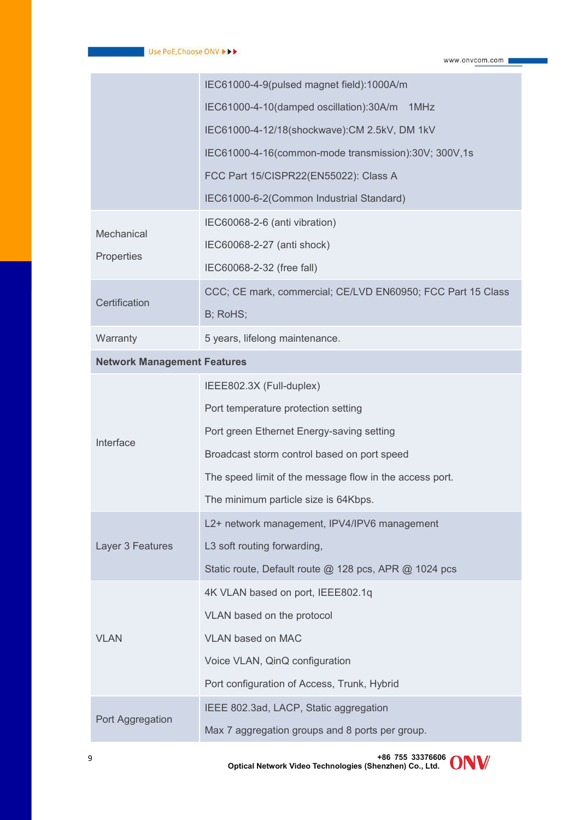|                                    | IEC61000-4-9(pulsed magnet field):1000A/m                   |
|------------------------------------|-------------------------------------------------------------|
|                                    | IEC61000-4-10(damped oscillation):30A/m 1MHz                |
|                                    | IEC61000-4-12/18(shockwave): CM 2.5kV, DM 1kV               |
|                                    | IEC61000-4-16(common-mode transmission):30V; 300V,1s        |
|                                    | FCC Part 15/CISPR22(EN55022): Class A                       |
|                                    | IEC61000-6-2(Common Industrial Standard)                    |
| Mechanical                         | IEC60068-2-6 (anti vibration)                               |
|                                    | IEC60068-2-27 (anti shock)                                  |
| Properties                         | IEC60068-2-32 (free fall)                                   |
|                                    | CCC; CE mark, commercial; CE/LVD EN60950; FCC Part 15 Class |
| Certification                      | B; RoHS;                                                    |
| Warranty                           | 5 years, lifelong maintenance.                              |
| <b>Network Management Features</b> |                                                             |
|                                    | IEEE802.3X (Full-duplex)                                    |
|                                    | Port temperature protection setting                         |
|                                    | Port green Ethernet Energy-saving setting                   |
| Interface                          | Broadcast storm control based on port speed                 |
|                                    | The speed limit of the message flow in the access port.     |
|                                    | The minimum particle size is 64Kbps.                        |
|                                    | L2+ network management, IPV4/IPV6 management                |
| Layer 3 Features                   | L3 soft routing forwarding,                                 |
|                                    | Static route, Default route @ 128 pcs, APR @ 1024 pcs       |
|                                    | 4K VLAN based on port, IEEE802.1q                           |
|                                    | VLAN based on the protocol                                  |
| <b>VLAN</b>                        | VLAN based on MAC                                           |
|                                    | Voice VLAN, QinQ configuration                              |
|                                    | Port configuration of Access, Trunk, Hybrid                 |
| Port Aggregation                   | IEEE 802.3ad, LACP, Static aggregation                      |
|                                    | Max 7 aggregation groups and 8 ports per group.             |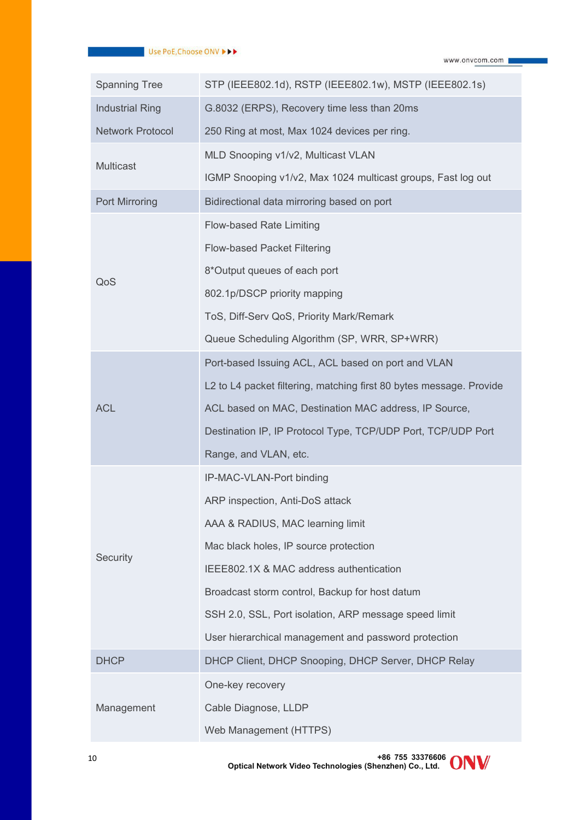#### Use PoE, Choose ONV PP

www.onvcom.com

| <b>Spanning Tree</b>    | STP (IEEE802.1d), RSTP (IEEE802.1w), MSTP (IEEE802.1s)              |
|-------------------------|---------------------------------------------------------------------|
| <b>Industrial Ring</b>  | G.8032 (ERPS), Recovery time less than 20ms                         |
| <b>Network Protocol</b> | 250 Ring at most, Max 1024 devices per ring.                        |
|                         | MLD Snooping v1/v2, Multicast VLAN                                  |
| Multicast               | IGMP Snooping v1/v2, Max 1024 multicast groups, Fast log out        |
| <b>Port Mirroring</b>   | Bidirectional data mirroring based on port                          |
|                         | Flow-based Rate Limiting                                            |
|                         | Flow-based Packet Filtering                                         |
|                         | 8*Output queues of each port                                        |
| QoS                     | 802.1p/DSCP priority mapping                                        |
|                         | ToS, Diff-Serv QoS, Priority Mark/Remark                            |
|                         | Queue Scheduling Algorithm (SP, WRR, SP+WRR)                        |
|                         | Port-based Issuing ACL, ACL based on port and VLAN                  |
|                         | L2 to L4 packet filtering, matching first 80 bytes message. Provide |
| <b>ACL</b>              | ACL based on MAC, Destination MAC address, IP Source,               |
|                         | Destination IP, IP Protocol Type, TCP/UDP Port, TCP/UDP Port        |
|                         | Range, and VLAN, etc.                                               |
|                         | IP-MAC-VLAN-Port binding                                            |
|                         | ARP inspection, Anti-DoS attack                                     |
|                         | AAA & RADIUS, MAC learning limit                                    |
| Security                | Mac black holes, IP source protection                               |
|                         | IEEE802.1X & MAC address authentication                             |
|                         | Broadcast storm control, Backup for host datum                      |
|                         | SSH 2.0, SSL, Port isolation, ARP message speed limit               |
|                         | User hierarchical management and password protection                |
| <b>DHCP</b>             | DHCP Client, DHCP Snooping, DHCP Server, DHCP Relay                 |
|                         | One-key recovery                                                    |
| Management              | Cable Diagnose, LLDP                                                |
|                         | Web Management (HTTPS)                                              |
|                         |                                                                     |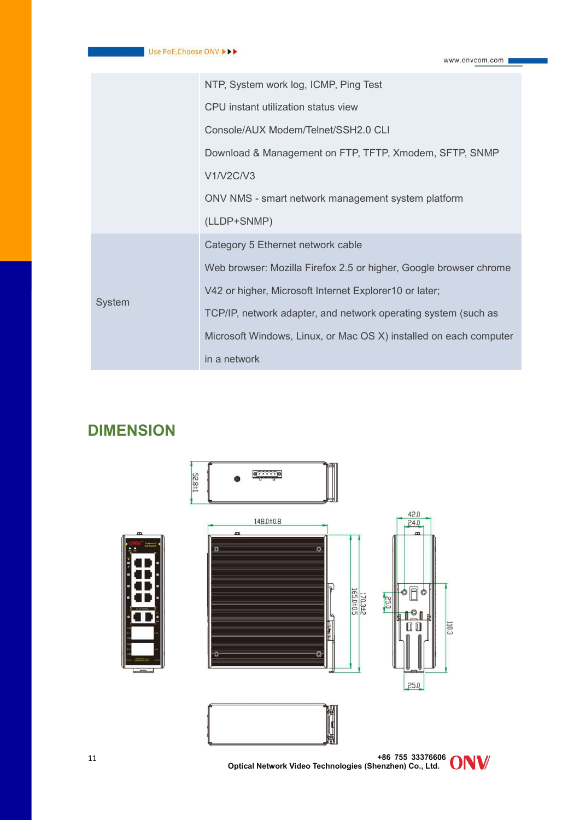|        | NTP, System work log, ICMP, Ping Test                             |
|--------|-------------------------------------------------------------------|
|        | CPU instant utilization status view                               |
|        | Console/AUX Modem/Telnet/SSH2.0 CLI                               |
|        | Download & Management on FTP, TFTP, Xmodem, SFTP, SNMP            |
|        | V1/V2C/V3                                                         |
|        | ONV NMS - smart network management system platform                |
|        | (LLDP+SNMP)                                                       |
|        | Category 5 Ethernet network cable                                 |
|        | Web browser: Mozilla Firefox 2.5 or higher, Google browser chrome |
| System | V42 or higher, Microsoft Internet Explorer10 or later;            |
|        | TCP/IP, network adapter, and network operating system (such as    |
|        | Microsoft Windows, Linux, or Mac OS X) installed on each computer |
|        | in a network                                                      |

### **DIMENSION**



**+86 755 33376606 Optical Network Video Technologies (Shenzhen) Co., Ltd.** <sup>11</sup>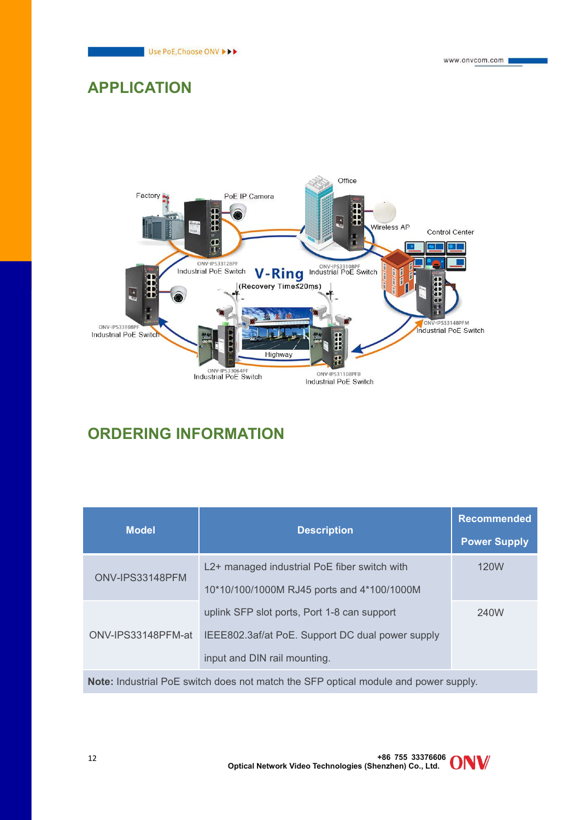

### **APPLICATION**



# **ORDERING INFORMATION**

| <b>Model</b>                                                                       |                                                  | <b>Recommended</b>  |  |
|------------------------------------------------------------------------------------|--------------------------------------------------|---------------------|--|
|                                                                                    | <b>Description</b>                               | <b>Power Supply</b> |  |
|                                                                                    | L2+ managed industrial PoE fiber switch with     | 120W                |  |
| ONV-IPS33148PFM                                                                    | 10*10/100/1000M RJ45 ports and 4*100/1000M       |                     |  |
|                                                                                    | uplink SFP slot ports, Port 1-8 can support      | 240W                |  |
| ONV-IPS33148PFM-at                                                                 | IEEE802.3af/at PoE. Support DC dual power supply |                     |  |
|                                                                                    | input and DIN rail mounting.                     |                     |  |
| Nata Isduabid DeF autrick deer set seetsk flee OFD estied seedule as discussed and |                                                  |                     |  |

**Note:** Industrial PoE switch does not match the SFP optical module and power supply.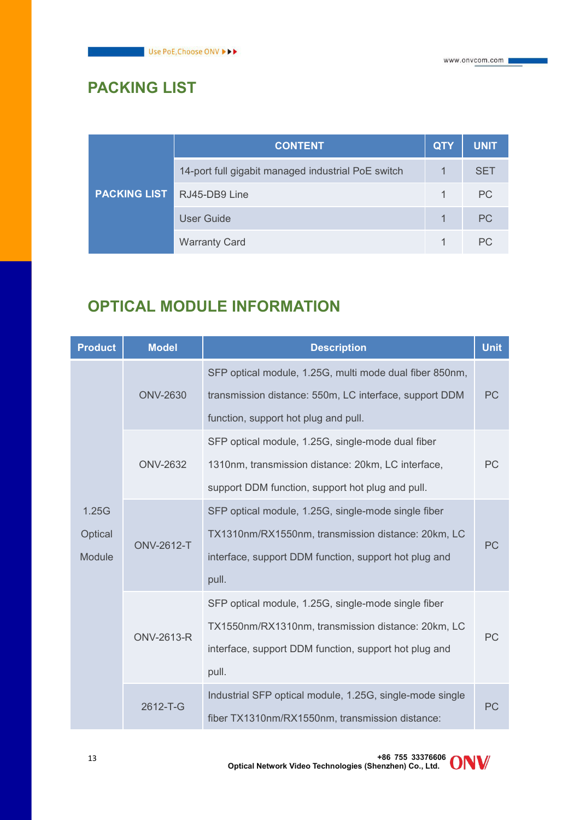# **PACKING LIST**

|                     | <b>CONTENT</b>                                     | <b>QTY</b> | <b>UNIT</b> |
|---------------------|----------------------------------------------------|------------|-------------|
| <b>PACKING LIST</b> | 14-port full gigabit managed industrial PoE switch |            | <b>SET</b>  |
|                     | RJ45-DB9 Line                                      |            | <b>PC</b>   |
|                     | <b>User Guide</b>                                  |            | <b>PC</b>   |
|                     | <b>Warranty Card</b>                               |            | <b>PC</b>   |

## **OPTICAL MODULE INFORMATION**

| <b>Product</b>             | <b>Model</b>      | <b>Description</b>                                                                                                                                                          |    |
|----------------------------|-------------------|-----------------------------------------------------------------------------------------------------------------------------------------------------------------------------|----|
|                            | <b>ONV-2630</b>   | SFP optical module, 1.25G, multi mode dual fiber 850nm,<br>transmission distance: 550m, LC interface, support DDM<br>function, support hot plug and pull.                   | PC |
|                            | <b>ONV-2632</b>   | SFP optical module, 1.25G, single-mode dual fiber<br>1310nm, transmission distance: 20km, LC interface,<br>support DDM function, support hot plug and pull.                 | PC |
| 1.25G<br>Optical<br>Module | <b>ONV-2612-T</b> | SFP optical module, 1.25G, single-mode single fiber<br>TX1310nm/RX1550nm, transmission distance: 20km, LC<br>interface, support DDM function, support hot plug and<br>pull. | PC |
|                            | <b>ONV-2613-R</b> | SFP optical module, 1.25G, single-mode single fiber<br>TX1550nm/RX1310nm, transmission distance: 20km, LC<br>interface, support DDM function, support hot plug and<br>pull. | PC |
|                            | 2612-T-G          | Industrial SFP optical module, 1.25G, single-mode single<br>fiber TX1310nm/RX1550nm, transmission distance:                                                                 | PC |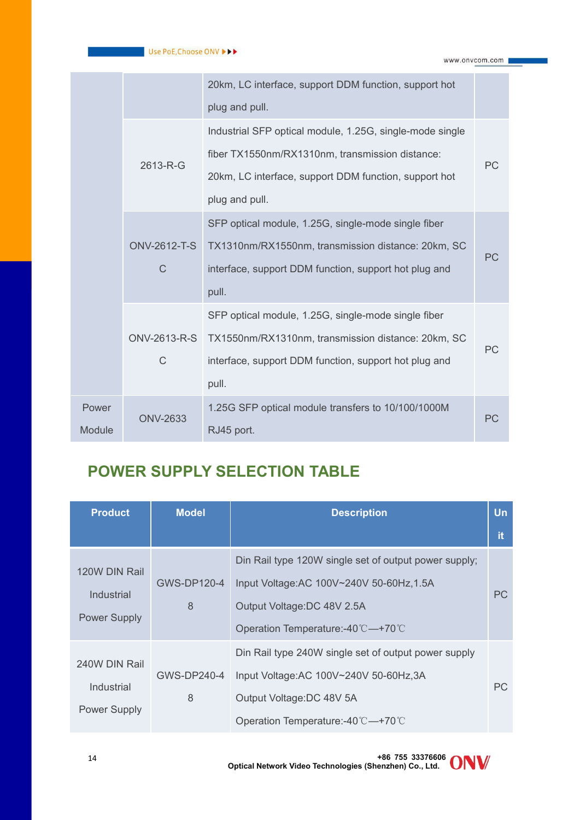|               |                                     | 20km, LC interface, support DDM function, support hot    |           |
|---------------|-------------------------------------|----------------------------------------------------------|-----------|
|               |                                     | plug and pull.                                           |           |
|               |                                     | Industrial SFP optical module, 1.25G, single-mode single |           |
|               | 2613-R-G                            | fiber TX1550nm/RX1310nm, transmission distance:          | <b>PC</b> |
|               |                                     | 20km, LC interface, support DDM function, support hot    |           |
|               |                                     | plug and pull.                                           |           |
|               |                                     | SFP optical module, 1.25G, single-mode single fiber      |           |
|               | <b>ONV-2612-T-S</b><br>$\mathsf{C}$ | TX1310nm/RX1550nm, transmission distance: 20km, SC       | <b>PC</b> |
|               |                                     | interface, support DDM function, support hot plug and    |           |
|               |                                     | pull.                                                    |           |
|               |                                     | SFP optical module, 1.25G, single-mode single fiber      |           |
|               | ONV-2613-R-S                        | TX1550nm/RX1310nm, transmission distance: 20km, SC       | PC        |
|               | $\mathsf{C}$                        | interface, support DDM function, support hot plug and    |           |
|               |                                     | pull.                                                    |           |
| Power         | <b>ONV-2633</b>                     | 1.25G SFP optical module transfers to 10/100/1000M       | PC        |
| <b>Module</b> |                                     | RJ45 port.                                               |           |

# **POWER SUPPLY SELECTION TABLE**

| <b>Product</b>                                     | <b>Model</b>     | <b>Description</b>                                                                                                                                                   | <b>Un</b> |
|----------------------------------------------------|------------------|----------------------------------------------------------------------------------------------------------------------------------------------------------------------|-----------|
|                                                    |                  |                                                                                                                                                                      | <b>it</b> |
| 120W DIN Rail<br>Industrial<br><b>Power Supply</b> | GWS-DP120-4<br>8 | Din Rail type 120W single set of output power supply;<br>Input Voltage: AC 100V~240V 50-60Hz, 1.5A<br>Output Voltage: DC 48V 2.5A<br>Operation Temperature:-40℃—+70℃ | <b>PC</b> |
| 240W DIN Rail<br>Industrial<br><b>Power Supply</b> | GWS-DP240-4<br>8 | Din Rail type 240W single set of output power supply<br>Input Voltage: AC 100V~240V 50-60Hz, 3A<br>Output Voltage: DC 48V 5A<br>Operation Temperature:-40℃—+70℃      | <b>PC</b> |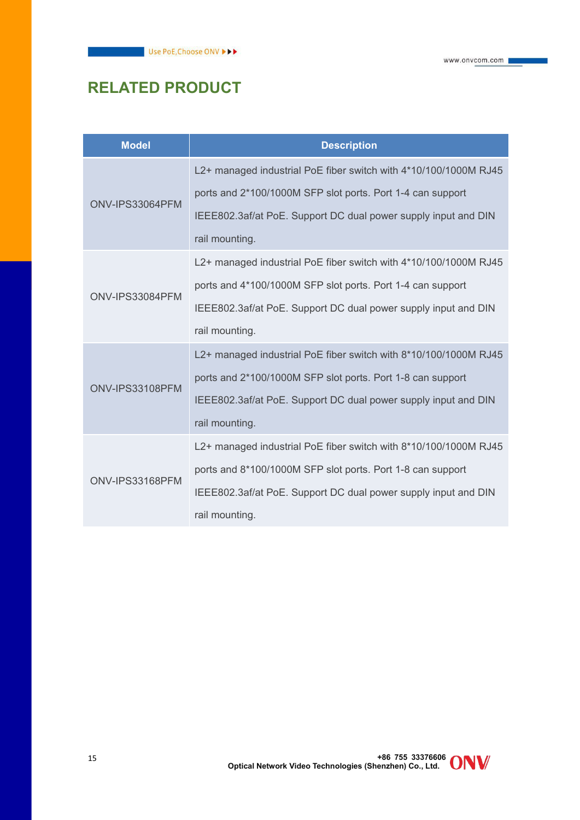# **RELATED PRODUCT**

| <b>Model</b>    | <b>Description</b>                                               |
|-----------------|------------------------------------------------------------------|
| ONV-IPS33064PFM | L2+ managed industrial PoE fiber switch with 4*10/100/1000M RJ45 |
|                 | ports and 2*100/1000M SFP slot ports. Port 1-4 can support       |
|                 | IEEE802.3af/at PoE. Support DC dual power supply input and DIN   |
|                 | rail mounting.                                                   |
| ONV-IPS33084PFM | L2+ managed industrial PoE fiber switch with 4*10/100/1000M RJ45 |
|                 | ports and 4*100/1000M SFP slot ports. Port 1-4 can support       |
|                 | IEEE802.3af/at PoE. Support DC dual power supply input and DIN   |
|                 | rail mounting.                                                   |
| ONV-IPS33108PFM | L2+ managed industrial PoE fiber switch with 8*10/100/1000M RJ45 |
|                 | ports and 2*100/1000M SFP slot ports. Port 1-8 can support       |
|                 | IEEE802.3af/at PoE. Support DC dual power supply input and DIN   |
|                 | rail mounting.                                                   |
| ONV-IPS33168PFM | L2+ managed industrial PoE fiber switch with 8*10/100/1000M RJ45 |
|                 | ports and 8*100/1000M SFP slot ports. Port 1-8 can support       |
|                 | IEEE802.3af/at PoE. Support DC dual power supply input and DIN   |
|                 | rail mounting.                                                   |